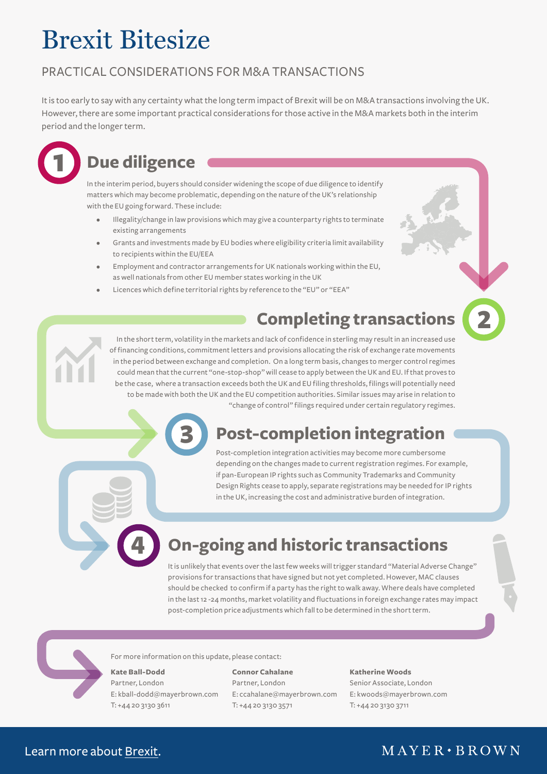# Brexit Bitesize

### PRACTICAL CONSIDERATIONS FOR M&A TRANSACTIONS

It is too early to say with any certainty what the long term impact of Brexit will be on M&A transactions involving the UK. However, there are some important practical considerations for those active in the M&A markets both in the interim period and the longer term.



## **Due diligence**

In the interim period, buyers should consider widening the scope of due diligence to identify matters which may become problematic, depending on the nature of the UK's relationship with the EU going forward. These include:

- Illegality/change in law provisions which may give a counterparty rights to terminate existing arrangements
- Grants and investments made by EU bodies where eligibility criteria limit availability to recipients within the EU/EEA
- Employment and contractor arrangements for UK nationals working within the EU, as well nationals from other EU member states working in the UK
- Licences which define territorial rights by reference to the "EU" or "EEA"

## **Completing transactions**



### "change of control" filings required under certain regulatory regimes.

## **Post-completion integration**

Post-completion integration activities may become more cumbersome depending on the changes made to current registration regimes. For example, if pan-European IP rights such as Community Trademarks and Community Design Rights cease to apply, separate registrations may be needed for IP rights in the UK, increasing the cost and administrative burden of integration.

## **On-going and historic transactions**

It is unlikely that events over the last few weeks will trigger standard "Material Adverse Change" provisions for transactions that have signed but not yet completed. However, MAC clauses should be checked to confirm if a party has the right to walk away. Where deals have completed in the last 12 -24 months, market volatility and fluctuations in foreign exchange rates may impact post-completion price adjustments which fall to be determined in the short term.



#### For more information on this update, please contact:

3

#### **Kate Ball-Dodd**

4

Partner, London E: [kball-dodd@mayerbrown.com](mailto:kball-dodd%40mayerbrown.com?subject=) T: +44 20 3130 3611

**Connor Cahalane** Partner, London E: [ccahalane@mayerbrown.com](mailto:ccahalane%40mayerbrown.com?subject=) T: +44 20 3130 3571

#### **Katherine Woods**

Senior Associate, London E: [kwoods@mayerbrown.com](mailto:kwoods%40mayerbrown.com?subject=) T: +44 20 3130 3711

### Learn more about [Brexit](https://www.mayerbrown.com/experience/Brexit-The-UK-and-the-EU/).

### $M$  A Y E R  $\cdot$  B R O W N

2